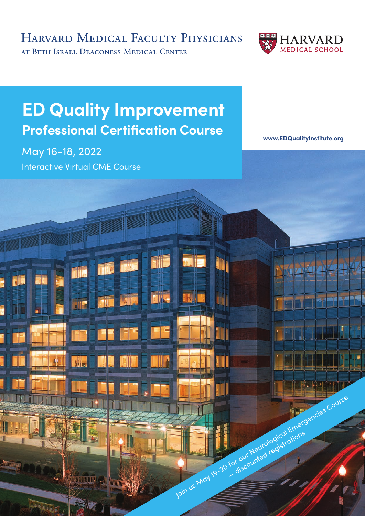HARVARD MEDICAL FACULTY PHYSICIANS

AT BETH ISRAEL DEACONESS MEDICAL CENTER



# **ED Quality Improvement Professional Certification Course**

May 16-18, 2022 Interactive Virtual CME Course

W.

**HADDALL** 

**[www.EDQualityInstitute.or](http://www.EDQualityInstitute.org)g**

Join us Moy 19-20 for our Neurological Emergencies Course For our Neurological ations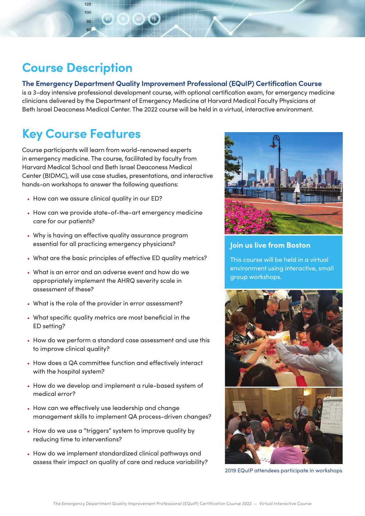### **Course Description**

#### **The Emergency Department Quality Improvement Professional (EQuIP) Certification Course**

is a 3-day intensive professional development course, with optional certification exam, for emergency medicine clinicians delivered by the Department of Emergency Medicine at Harvard Medical Faculty Physicians at Beth Israel Deaconess Medical Center. The 2022 course will be held in a virtual, interactive environment.

## **Key Course Features**

Course participants will learn from world-renowned experts in emergency medicine. The course, facilitated by faculty from Harvard Medical School and Beth Israel Deaconess Medical Center (BIDMC), will use case studies, presentations, and interactive hands-on workshops to answer the following questions:

- How can we assure clinical quality in our ED?
- How can we provide state-of-the-art emergency medicine care for our patients?
- Why is having an effective quality assurance program essential for all practicing emergency physicians?
- What are the basic principles of effective ED quality metrics?
- What is an error and an adverse event and how do we appropriately implement the AHRQ severity scale in assessment of these?
- What is the role of the provider in error assessment?
- What specific quality metrics are most beneficial in the ED setting?
- How do we perform a standard case assessment and use this to improve clinical quality?
- How does a QA committee function and effectively interact with the hospital system?
- How do we develop and implement a rule-based system of medical error?
- How can we effectively use leadership and change management skills to implement QA process-driven changes?
- How do we use a "triggers" system to improve quality by reducing time to interventions?
- How do we implement standardized clinical pathways and assess their impact on quality of care and reduce variability?



#### **Join us live from Boston**

This course will be held in a virtual environment using interactive, small group workshops.





2019 EQuIP attendees participate in workshops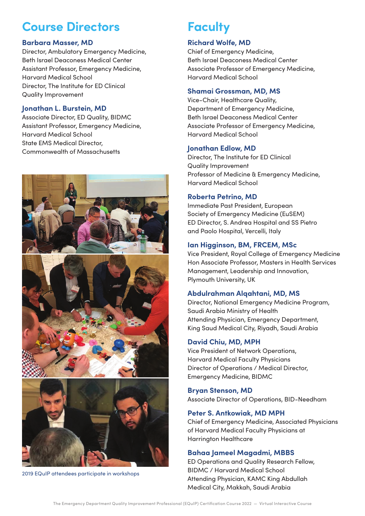### **Course Directors**

#### **Barbara Masser, MD**

Director, Ambulatory Emergency Medicine, Beth Israel Deaconess Medical Center Assistant Professor, Emergency Medicine, Harvard Medical School Director, The Institute for ED Clinical Quality Improvement

#### **Jonathan L. Burstein, MD**

Associate Director, ED Quality, BIDMC Assistant Professor, Emergency Medicine, Harvard Medical School State EMS Medical Director, Commonwealth of Massachusetts



2019 EQuIP attendees participate in workshops

### **Faculty**

#### **Richard Wolfe, MD**

Chief of Emergency Medicine, Beth Israel Deaconess Medical Center Associate Professor of Emergency Medicine, Harvard Medical School

#### **Shamai Grossman, MD, MS**

Vice-Chair, Healthcare Quality, Department of Emergency Medicine, Beth Israel Deaconess Medical Center Associate Professor of Emergency Medicine, Harvard Medical School

#### **Jonathan Edlow, MD**

Director, The Institute for ED Clinical Quality Improvement Professor of Medicine & Emergency Medicine, Harvard Medical School

#### **Roberta Petrino, MD**

Immediate Past President, European Society of Emergency Medicine (EuSEM) ED Director, S. Andrea Hospital and SS Pietro and Paolo Hospital, Vercelli, Italy

#### **Ian Higginson, BM, FRCEM, MSc**

Vice President, Royal College of Emergency Medicine Hon Associate Professor, Masters in Health Services Management, Leadership and Innovation, Plymouth University, UK

#### **Abdulrahman Alqahtani, MD, MS**

Director, National Emergency Medicine Program, Saudi Arabia Ministry of Health Attending Physician, Emergency Department, King Saud Medical City, Riyadh, Saudi Arabia

#### **David Chiu, MD, MPH**

Vice President of Network Operations, Harvard Medical Faculty Physicians Director of Operations / Medical Director, Emergency Medicine, BIDMC

#### **Bryan Stenson, MD**

Associate Director of Operations, BID-Needham

#### **Peter S. Antkowiak, MD MPH**

Chief of Emergency Medicine, Associated Physicians of Harvard Medical Faculty Physicians at Harrington Healthcare

#### **Bahaa Jameel Magadmi, MBBS**

ED Operations and Quality Research Fellow, BIDMC / Harvard Medical School Attending Physician, KAMC King Abdullah Medical City, Makkah, Saudi Arabia